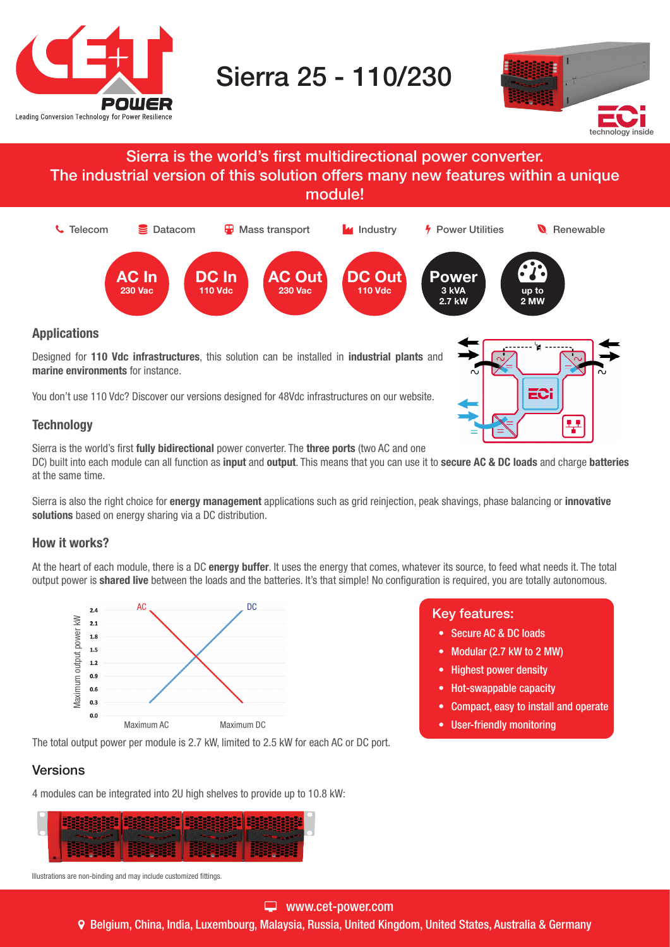

# Sierra 25 - 110/230



### Sierra is the world's first multidirectional power converter. The industrial version of this solution offers many new features within a unique module!



Designed for 110 Vdc infrastructures, this solution can be installed in industrial plants and marine environments for instance.

You don't use 110 Vdc? Discover our versions designed for 48Vdc infrastructures on our website.

#### **Technology**

Sierra is the world's first fully bidirectional power converter. The three ports (two AC and one

DC) built into each module can all function as input and output. This means that you can use it to secure AC & DC loads and charge batteries at the same time.

Sierra is also the right choice for energy management applications such as grid reinjection, peak shavings, phase balancing or innovative solutions based on energy sharing via a DC distribution.

#### How it works?

At the heart of each module, there is a DC energy buffer. It uses the energy that comes, whatever its source, to feed what needs it. The total output power is shared live between the loads and the batteries. It's that simple! No configuration is required, you are totally autonomous.



The total output power per module is 2.7 kW, limited to 2.5 kW for each AC or DC port.

#### Versions



Illustrations are non-binding and may include customized fittings.

#### www.cet-power.com

Belgium, China, India, Luxembourg, Malaysia, Russia, United Kingdom, United States, Australia & Germany

## $\begin{array}{c} \mathbb{R}^{\mathbb{C}} \\ \mathbb{R} \end{array}$  Key features:

- Secure AC & DC loads
- Modular (2.7 kW to 2 MW)
- Highest power density
- Hot-swappable capacity
- Compact, easy to install and operate

EC:

¥

• User-friendly monitoring